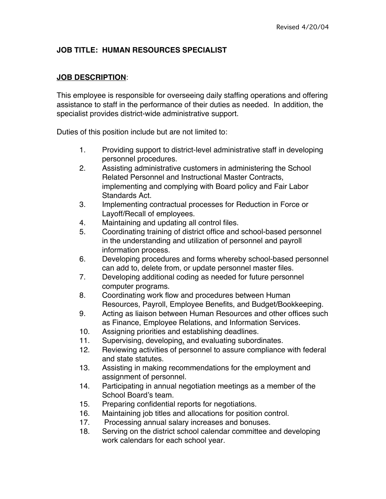# **JOB TITLE: HUMAN RESOURCES SPECIALIST**

#### **JOB DESCRIPTION**:

This employee is responsible for overseeing daily staffing operations and offering assistance to staff in the performance of their duties as needed. In addition, the specialist provides district-wide administrative support.

Duties of this position include but are not limited to:

- 1. Providing support to district-level administrative staff in developing personnel procedures.
- 2. Assisting administrative customers in administering the School Related Personnel and Instructional Master Contracts, implementing and complying with Board policy and Fair Labor Standards Act.
- 3. Implementing contractual processes for Reduction in Force or Layoff/Recall of employees.
- 4. Maintaining and updating all control files.
- 5. Coordinating training of district office and school-based personnel in the understanding and utilization of personnel and payroll information process.
- 6. Developing procedures and forms whereby school-based personnel can add to, delete from, or update personnel master files.
- 7. Developing additional coding as needed for future personnel computer programs.
- 8. Coordinating work flow and procedures between Human Resources, Payroll, Employee Benefits, and Budget/Bookkeeping.
- 9. Acting as liaison between Human Resources and other offices such as Finance, Employee Relations, and Information Services.
- 10. Assigning priorities and establishing deadlines.
- 11. Supervising, developing, and evaluating subordinates.
- 12. Reviewing activities of personnel to assure compliance with federal and state statutes.
- 13. Assisting in making recommendations for the employment and assignment of personnel.
- 14. Participating in annual negotiation meetings as a member of the School Board's team.
- 15. Preparing confidential reports for negotiations.
- 16. Maintaining job titles and allocations for position control.
- 17. Processing annual salary increases and bonuses.
- 18. Serving on the district school calendar committee and developing work calendars for each school year.